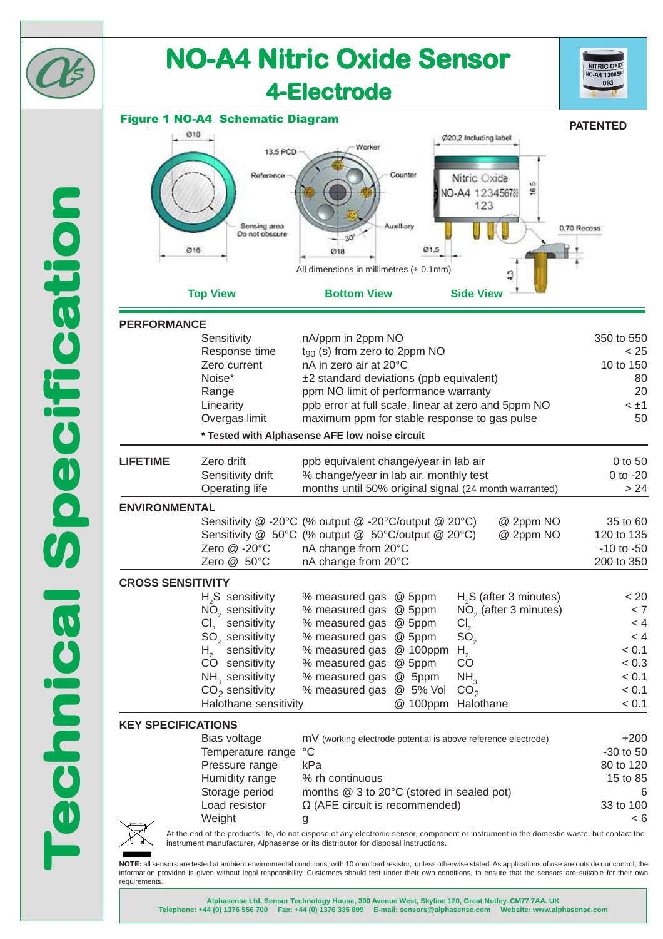

**Alphasense Ltd, Sensor Technology House, 300 Avenue West, Skyline 120, Great Notley. CM77 7AA. UK Telephone: +44 (0) 1376 556 700 Fax: +44 (0) 1376 335 899 E-mail: sensors@alphasense.com Website: www.alphasense.com**

information provided is given without legal responsibility. Customers should test under their own conditions, to ensure that the sensors are suitable for their own



requirements.